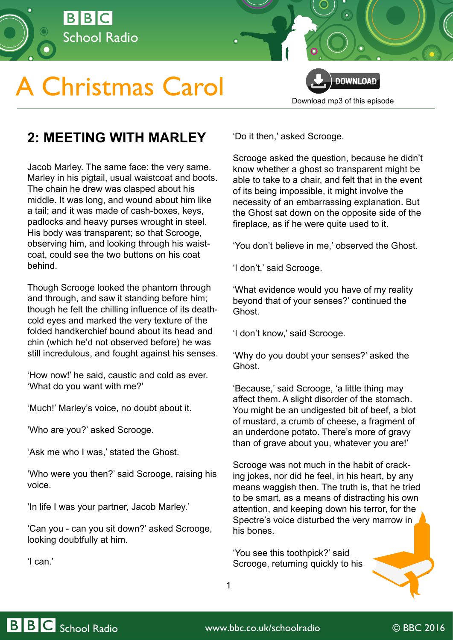

## **A Christmas Carol**



## **2: MEETING WITH MARLEY**

Jacob Marley. The same face: the very same. Marley in his pigtail, usual waistcoat and boots. The chain he drew was clasped about his middle. It was long, and wound about him like a tail; and it was made of cash-boxes, keys, padlocks and heavy purses wrought in steel. His body was transparent; so that Scrooge, observing him, and looking through his waistcoat, could see the two buttons on his coat behind.

Though Scrooge looked the phantom through and through, and saw it standing before him; though he felt the chilling influence of its deathcold eyes and marked the very texture of the folded handkerchief bound about its head and chin (which he'd not observed before) he was still incredulous, and fought against his senses.

'How now!' he said, caustic and cold as ever. 'What do you want with me?'

'Much!' Marley's voice, no doubt about it.

'Who are you?' asked Scrooge.

'Ask me who I was,' stated the Ghost.

'Who were you then?' said Scrooge, raising his voice.

'In life I was your partner, Jacob Marley.'

'Can you - can you sit down?' asked Scrooge, looking doubtfully at him.

'I can.'

'Do it then,' asked Scrooge.

Scrooge asked the question, because he didn't know whether a ghost so transparent might be able to take to a chair, and felt that in the event of its being impossible, it might involve the necessity of an embarrassing explanation. But the Ghost sat down on the opposite side of the fireplace, as if he were quite used to it.

'You don't believe in me,' observed the Ghost.

'I don't,' said Scrooge.

'What evidence would you have of my reality beyond that of your senses?' continued the Ghost.

'I don't know,' said Scrooge.

'Why do you doubt your senses?' asked the Ghost.

'Because,' said Scrooge, 'a little thing may affect them. A slight disorder of the stomach. You might be an undigested bit of beef, a blot of mustard, a crumb of cheese, a fragment of an underdone potato. There's more of gravy than of grave about you, whatever you are!'

Scrooge was not much in the habit of cracking jokes, nor did he feel, in his heart, by any means waggish then. The truth is, that he tried to be smart, as a means of distracting his own attention, and keeping down his terror, for the Spectre's voice disturbed the very marrow in his bones.

'You see this toothpick?' said Scrooge, returning quickly to his

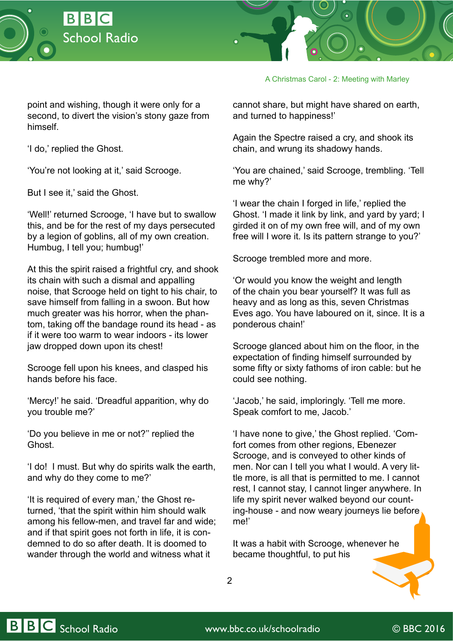



A Christmas Carol - 2: Meeting with Marley

point and wishing, though it were only for a second, to divert the vision's stony gaze from himself.

'I do,' replied the Ghost.

'You're not looking at it,' said Scrooge.

But I see it,' said the Ghost.

'Well!' returned Scrooge, 'I have but to swallow this, and be for the rest of my days persecuted by a legion of goblins, all of my own creation. Humbug, I tell you; humbug!'

At this the spirit raised a frightful cry, and shook its chain with such a dismal and appalling noise, that Scrooge held on tight to his chair, to save himself from falling in a swoon. But how much greater was his horror, when the phantom, taking off the bandage round its head - as if it were too warm to wear indoors - its lower jaw dropped down upon its chest!

Scrooge fell upon his knees, and clasped his hands before his face.

'Mercy!' he said. 'Dreadful apparition, why do you trouble me?'

'Do you believe in me or not?'' replied the Ghost.

'I do! I must. But why do spirits walk the earth, and why do they come to me?'

'It is required of every man,' the Ghost returned, 'that the spirit within him should walk among his fellow-men, and travel far and wide; and if that spirit goes not forth in life, it is condemned to do so after death. It is doomed to wander through the world and witness what it

cannot share, but might have shared on earth, and turned to happiness!'

Again the Spectre raised a cry, and shook its chain, and wrung its shadowy hands.

'You are chained,' said Scrooge, trembling. 'Tell me why?'

'I wear the chain I forged in life,' replied the Ghost. 'I made it link by link, and yard by yard; I girded it on of my own free will, and of my own free will I wore it. Is its pattern strange to you?'

Scrooge trembled more and more.

'Or would you know the weight and length of the chain you bear yourself? It was full as heavy and as long as this, seven Christmas Eves ago. You have laboured on it, since. It is a ponderous chain!'

Scrooge glanced about him on the floor, in the expectation of finding himself surrounded by some fifty or sixty fathoms of iron cable: but he could see nothing.

'Jacob,' he said, imploringly. 'Tell me more. Speak comfort to me, Jacob.'

'I have none to give,' the Ghost replied. 'Comfort comes from other regions, Ebenezer Scrooge, and is conveyed to other kinds of men. Nor can I tell you what I would. A very little more, is all that is permitted to me. I cannot rest, I cannot stay, I cannot linger anywhere. In life my spirit never walked beyond our counting-house - and now weary journeys lie before me!'

It was a habit with Scrooge, whenever he became thoughtful, to put his

2

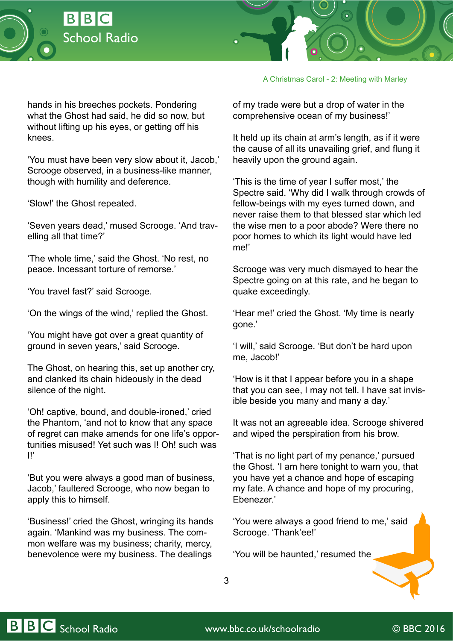



A Christmas Carol - 2: Meeting with Marley

hands in his breeches pockets. Pondering what the Ghost had said, he did so now, but without lifting up his eyes, or getting off his knees.

'You must have been very slow about it, Jacob,' Scrooge observed, in a business-like manner, though with humility and deference.

'Slow!' the Ghost repeated.

'Seven years dead,' mused Scrooge. 'And travelling all that time?'

'The whole time,' said the Ghost. 'No rest, no peace. Incessant torture of remorse.'

'You travel fast?' said Scrooge.

'On the wings of the wind,' replied the Ghost.

'You might have got over a great quantity of ground in seven years,' said Scrooge.

The Ghost, on hearing this, set up another cry, and clanked its chain hideously in the dead silence of the night.

'Oh! captive, bound, and double-ironed,' cried the Phantom, 'and not to know that any space of regret can make amends for one life's opportunities misused! Yet such was I! Oh! such was I!'

'But you were always a good man of business, Jacob,' faultered Scrooge, who now began to apply this to himself.

'Business!' cried the Ghost, wringing its hands again. 'Mankind was my business. The common welfare was my business; charity, mercy, benevolence were my business. The dealings

of my trade were but a drop of water in the comprehensive ocean of my business!'

It held up its chain at arm's length, as if it were the cause of all its unavailing grief, and flung it heavily upon the ground again.

'This is the time of year I suffer most,' the Spectre said. 'Why did I walk through crowds of fellow-beings with my eyes turned down, and never raise them to that blessed star which led the wise men to a poor abode? Were there no poor homes to which its light would have led me!'

Scrooge was very much dismayed to hear the Spectre going on at this rate, and he began to quake exceedingly.

'Hear me!' cried the Ghost. 'My time is nearly gone.'

'I will,' said Scrooge. 'But don't be hard upon me, Jacob!'

'How is it that I appear before you in a shape that you can see, I may not tell. I have sat invisible beside you many and many a day.'

It was not an agreeable idea. Scrooge shivered and wiped the perspiration from his brow.

'That is no light part of my penance,' pursued the Ghost. 'I am here tonight to warn you, that you have yet a chance and hope of escaping my fate. A chance and hope of my procuring, Ebenezer.'

'You were always a good friend to me,' said Scrooge. 'Thank'ee!'

'You will be haunted,' resumed the

3